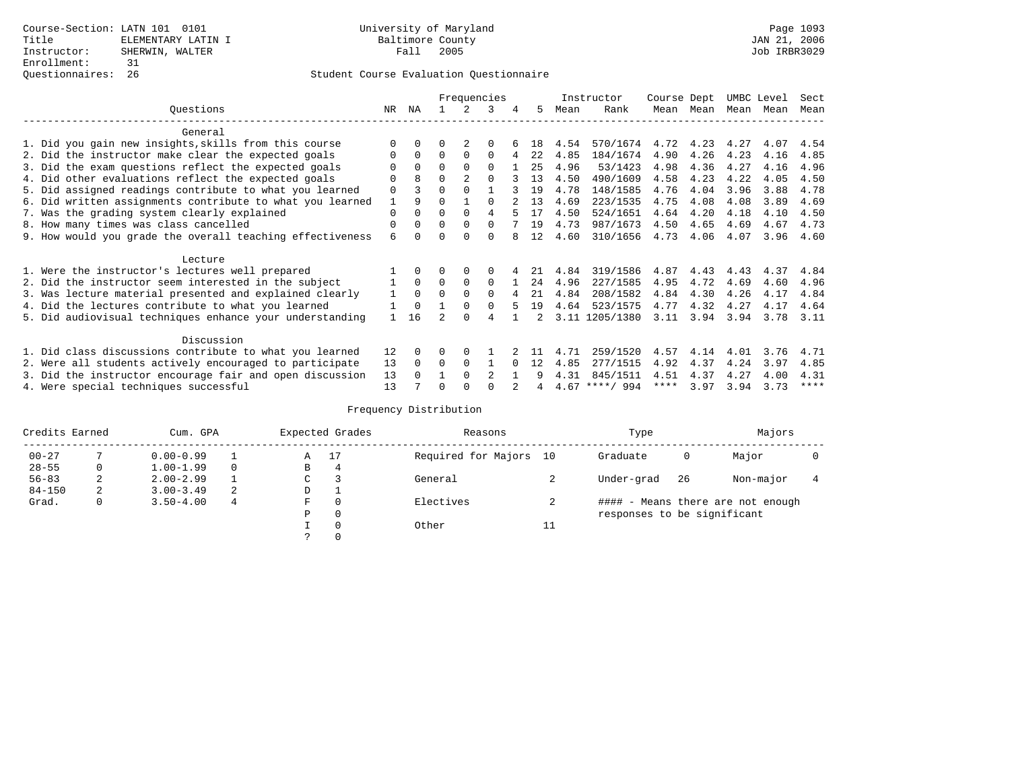|                                                           |             |              |          |                | Frequencies    |   |    |      | Instructor       | Course Dept |      | UMBC Level |      | Sect |
|-----------------------------------------------------------|-------------|--------------|----------|----------------|----------------|---|----|------|------------------|-------------|------|------------|------|------|
| Ouestions                                                 | NR.         | ΝA           |          |                | 3              | 4 | 5. | Mean | Rank             | Mean        | Mean | Mean       | Mean | Mean |
| General                                                   |             |              |          |                |                |   |    |      |                  |             |      |            |      |      |
| 1. Did you gain new insights, skills from this course     | $\Omega$    | $\Omega$     | O        |                | $\Omega$       |   | 18 | 4.54 | 570/1674         | 4.72        | 4.23 | 4.27       | 4.07 | 4.54 |
| 2. Did the instructor make clear the expected goals       | 0           | $\Omega$     | $\Omega$ | $\Omega$       | $\Omega$       | 4 | 22 | 4.85 | 184/1674         | 4.90        | 4.26 | 4.23       | 4.16 | 4.85 |
| 3. Did the exam questions reflect the expected goals      |             | $\Omega$     | 0        | $\Omega$       | $\Omega$       |   | 25 | 4.96 | 53/1423          | 4.98        | 4.36 | 4.27       | 4.16 | 4.96 |
| 4. Did other evaluations reflect the expected goals       | O           | $\mathsf{R}$ | $\Omega$ | $\overline{2}$ | $\Omega$       |   | 13 | 4.50 | 490/1609         | 4.58        | 4.23 | 4.22       | 4.05 | 4.50 |
| 5. Did assigned readings contribute to what you learned   | $\mathbf 0$ |              | $\Omega$ | $\Omega$       |                |   | 19 | 4.78 | 148/1585         | 4.76        | 4.04 | 3.96       | 3.88 | 4.78 |
| 6. Did written assignments contribute to what you learned | 1           | 9            | $\Omega$ |                | $\Omega$       |   | 13 | 4.69 | 223/1535         | 4.75        | 4.08 | 4.08       | 3.89 | 4.69 |
| 7. Was the grading system clearly explained               | $\Omega$    | $\Omega$     | $\Omega$ | $\Omega$       | 4              |   | 17 | 4.50 | 524/1651         | 4.64        | 4.20 | 4.18       | 4.10 | 4.50 |
| 8. How many times was class cancelled                     | 0           | $\Omega$     | $\Omega$ | $\Omega$       | $\Omega$       |   | 19 | 4.73 | 987/1673         | 4.50        | 4.65 | 4.69       | 4.67 | 4.73 |
| 9. How would you grade the overall teaching effectiveness | 6           | <sup>n</sup> | U        | $\cap$         | $\Omega$       |   | 12 | 4.60 | 310/1656         | 4.73        | 4.06 | 4.07       | 3.96 | 4.60 |
|                                                           |             |              |          |                |                |   |    |      |                  |             |      |            |      |      |
| Lecture                                                   |             |              |          |                |                |   |    |      |                  |             |      |            |      |      |
| 1. Were the instructor's lectures well prepared           |             |              |          |                | $\Omega$       |   | 21 | 4.84 | 319/1586         | 4.87        | 4.43 | 4.43       | 4.37 | 4.84 |
| 2. Did the instructor seem interested in the subject      |             | $\Omega$     | $\Omega$ | $\Omega$       | $\Omega$       |   | 24 | 4.96 | 227/1585         | 4.95        | 4.72 | 4.69       | 4.60 | 4.96 |
| 3. Was lecture material presented and explained clearly   | 1           | $\Omega$     | $\Omega$ | $\Omega$       | $\Omega$       |   | 21 | 4.84 | 208/1582         | 4.84        | 4.30 | 4.26       | 4.17 | 4.84 |
| 4. Did the lectures contribute to what you learned        |             | $\Omega$     |          | $\Omega$       | $\Omega$       |   | 19 | 4.64 | 523/1575         | 4.77        | 4.32 | 4.27       | 4.17 | 4.64 |
| 5. Did audiovisual techniques enhance your understanding  |             | 16           |          | $\cap$         | $\overline{4}$ |   |    |      | 3.11 1205/1380   | 3.11        | 3.94 | 3.94       | 3.78 | 3.11 |
|                                                           |             |              |          |                |                |   |    |      |                  |             |      |            |      |      |
| Discussion                                                |             |              |          |                |                |   |    |      |                  |             |      |            |      |      |
| 1. Did class discussions contribute to what you learned   | 12          | $\Omega$     | U        | $\Omega$       |                |   |    | 4.71 | 259/1520         | 4.57        | 4.14 | 4.01       | 3.76 | 4.71 |
| 2. Were all students actively encouraged to participate   | 13          | $\Omega$     | $\Omega$ | $\Omega$       |                |   | 12 | 4.85 | 277/1515         | 4.92        | 4.37 | 4.24       | 3.97 | 4.85 |
| 3. Did the instructor encourage fair and open discussion  | 13          |              |          | $\Omega$       | $\mathfrak{D}$ |   |    | 4.31 | 845/1511         | 4.51        | 4.37 | 4.27       | 4.00 | 4.31 |
| 4. Were special techniques successful                     | 13          |              |          |                |                |   |    |      | $4.67$ ****/ 994 | ****        | 3.97 | 3.94       | 3.73 | **** |

| Credits Earned |   | Cum. GPA      |   | Expected Grades | Reasons |                        | Type     |                             | Majors |                                   |  |
|----------------|---|---------------|---|-----------------|---------|------------------------|----------|-----------------------------|--------|-----------------------------------|--|
| $00 - 27$      |   | $0.00 - 0.99$ |   | A               | 17      | Required for Majors 10 |          | Graduate                    | 0      | Major                             |  |
| $28 - 55$      | 0 | $1.00 - 1.99$ |   | B               | 4       |                        |          |                             |        |                                   |  |
| $56 - 83$      | 2 | $2.00 - 2.99$ |   | $\sim$<br>◡     |         | General                |          | Under-grad                  | 26     | Non-major                         |  |
| $84 - 150$     | 2 | $3.00 - 3.49$ | 2 | D               |         |                        |          |                             |        |                                   |  |
| Grad.          | 0 | $3.50 - 4.00$ | 4 | F               | 0       | Electives              |          |                             |        | #### - Means there are not enough |  |
|                |   |               |   | Ρ               | 0       |                        |          | responses to be significant |        |                                   |  |
|                |   |               |   |                 | 0       | Other                  | 11<br>ᅩᅩ |                             |        |                                   |  |
|                |   |               |   | $\mathcal{L}$   |         |                        |          |                             |        |                                   |  |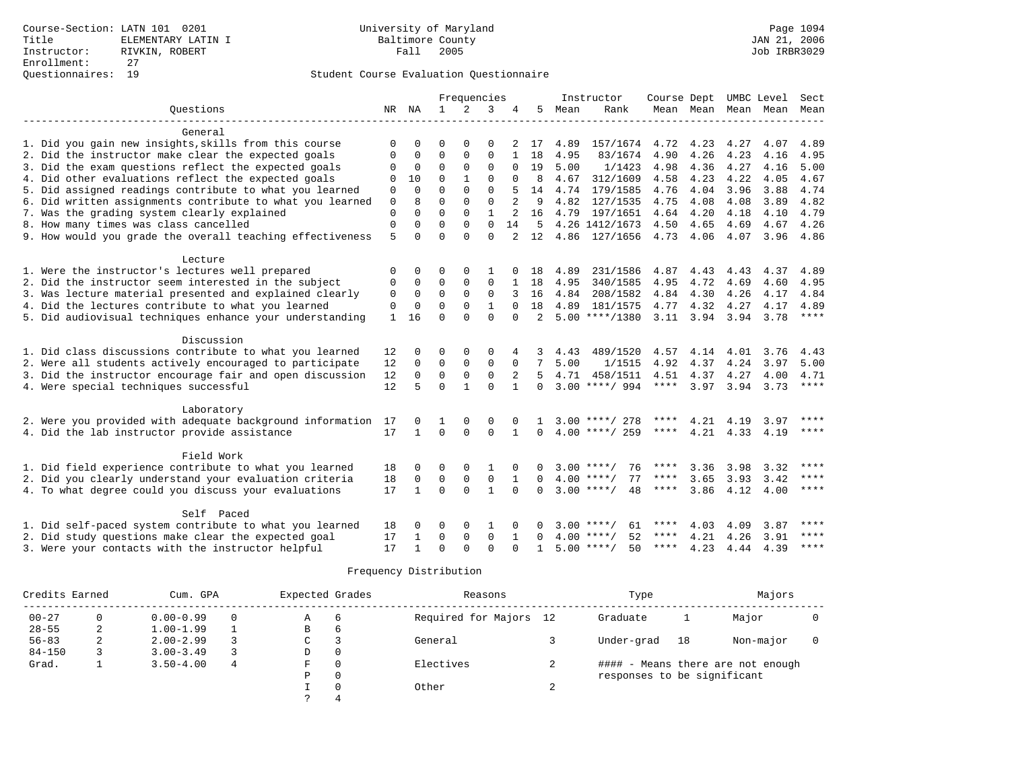|                                                                         |              |              |               | Frequencies  |              |                |                |      | Instructor         | Course Dept UMBC Level |           |      |                          | Sect                   |
|-------------------------------------------------------------------------|--------------|--------------|---------------|--------------|--------------|----------------|----------------|------|--------------------|------------------------|-----------|------|--------------------------|------------------------|
| Ouestions                                                               |              | NR NA        | $\mathbf{1}$  | 2            | 3            | 4              | 5              | Mean | Rank               |                        |           |      | Mean Mean Mean Mean Mean |                        |
|                                                                         |              |              |               |              |              |                |                |      |                    |                        |           |      |                          |                        |
| General                                                                 |              |              |               |              |              |                |                |      |                    |                        |           |      |                          |                        |
| 1. Did you gain new insights, skills from this course                   | O            | U            | O             | $\Omega$     | O            |                | 17             | 4.89 | 157/1674           | 4.72                   | 4.23      | 4.27 | 4.07                     | 4.89                   |
| 2. Did the instructor make clear the expected goals                     | 0            | 0            | $\mathbf 0$   | $\mathbf{0}$ | $\mathbf{0}$ | 1              | 18             | 4.95 | 83/1674            | 4.90                   | 4.26      | 4.23 | 4.16                     | 4.95                   |
| 3. Did the exam questions reflect the expected goals                    | 0            | $\mathbf 0$  | $\Omega$      | $\mathbf{0}$ | $\mathbf 0$  | $\Omega$       | 19             | 5.00 | 1/1423             | 4.98                   | 4.36      | 4.27 | 4.16                     | 5.00                   |
| 4. Did other evaluations reflect the expected goals                     | 0            | 10           | $\Omega$      | $\mathbf{1}$ | $\Omega$     | $\Omega$       | 8              | 4.67 | 312/1609           | 4.58                   | 4.23      | 4.22 | 4.05                     | 4.67                   |
| 5. Did assigned readings contribute to what you learned                 | 0            | $\Omega$     | $\Omega$      | $\Omega$     | $\Omega$     |                | 14             | 4.74 | 179/1585           | 4.76                   | 4.04      | 3.96 | 3.88                     | 4.74                   |
| 6. Did written assignments contribute to what you learned               | 0            | 8            | $\Omega$      | $\Omega$     | $\Omega$     | $\overline{a}$ | 9              | 4.82 | 127/1535           | 4.75                   | 4.08      | 4.08 | 3.89                     | 4.82                   |
| 7. Was the grading system clearly explained                             | $\mathbf{0}$ | $\Omega$     | $\Omega$      | $\Omega$     | $\mathbf{1}$ |                | 16             | 4.79 | 197/1651           | 4.64                   | 4.20      | 4.18 | 4.10                     | 4.79                   |
| 8. How many times was class cancelled                                   | $\mathbf{0}$ | $\Omega$     | $\Omega$      | $\Omega$     | $\Omega$     | 14             | 5              |      | 4.26 1412/1673     | 4.50                   | 4.65      | 4.69 | 4.67                     | 4.26                   |
| 9. How would you grade the overall teaching effectiveness               | 5            | $\Omega$     | $\Omega$      | $\Omega$     | $\Omega$     | $\overline{a}$ | 12             |      | 4.86 127/1656      | 4.73 4.06              |           | 4.07 |                          | 3.96 4.86              |
| Lecture                                                                 |              |              |               |              |              |                |                |      |                    |                        |           |      |                          |                        |
| 1. Were the instructor's lectures well prepared                         |              | 0            | 0             | $\Omega$     |              |                | 18             | 4.89 | 231/1586           | 4.87                   | 4.43      | 4.43 | 4.37                     | 4.89                   |
| 2. Did the instructor seem interested in the subject                    | 0            | 0            | $\Omega$      | $\Omega$     | $\Omega$     | $\mathbf{1}$   | 18             | 4.95 | 340/1585           | 4.95                   | 4.72      | 4.69 | 4.60                     | 4.95                   |
| 3. Was lecture material presented and explained clearly                 | 0            | $\mathbf 0$  | $\Omega$      | $\Omega$     | $\Omega$     | 3              | 16             | 4.84 | 208/1582           | 4.84                   | 4.30      | 4.26 | 4.17                     | 4.84                   |
| 4. Did the lectures contribute to what you learned                      | $\mathbf 0$  | $\Omega$     | $\Omega$      | $\Omega$     | $\mathbf{1}$ | $\Omega$       | 18             | 4.89 | 181/1575           |                        | 4.77 4.32 | 4.27 | 4.17                     | 4.89                   |
| 5. Did audiovisual techniques enhance your understanding                | $\mathbf{1}$ | 16           | $\Omega$      | $\Omega$     | $\Omega$     | $\Omega$       | $\overline{2}$ |      | $5.00$ ****/1380   |                        | 3.11 3.94 | 3.94 | 3.78                     | $***$ * * *            |
|                                                                         |              |              |               |              |              |                |                |      |                    |                        |           |      |                          |                        |
| Discussion                                                              |              |              |               |              |              |                |                |      |                    |                        |           |      |                          |                        |
| 1. Did class discussions contribute to what you learned                 | 12           | 0            | 0             | $\Omega$     | 0            |                | 3              | 4.43 | 489/1520           | 4.57                   | 4.14      | 4.01 | 3.76                     | 4.43                   |
| 2. Were all students actively encouraged to participate                 | 12           | 0            | $\mathbf 0$   | $\mathbf{0}$ | $\mathsf 0$  | 0              | 7              | 5.00 | 1/1515             | 4.92                   | 4.37      | 4.24 | 3.97                     | 5.00                   |
| 3. Did the instructor encourage fair and open discussion                | 12           | 0            | 0             | 0            | $\Omega$     | 2              | 5.             | 4.71 | 458/1511           | 4.51                   | 4.37      | 4.27 | 4.00                     | 4.71                   |
| 4. Were special techniques successful                                   | 12           | 5            | $\Omega$      | $\mathbf{1}$ | $\Omega$     | $\mathbf{1}$   | $\Omega$       |      | $3.00$ ****/ 994   | $***$ * * *            | 3.97      | 3.94 | 3.73                     | ****                   |
|                                                                         |              |              |               |              |              |                |                |      |                    |                        |           |      |                          |                        |
| Laboratory<br>2. Were you provided with adequate background information |              |              |               | $\Omega$     | $\Omega$     |                |                |      | $3.00$ ****/ 278   | ****                   | 4.21      | 4.19 |                          | ****                   |
| 4. Did the lab instructor provide assistance                            | 17<br>17     | $\mathbf{1}$ | 1<br>$\Omega$ | $\Omega$     | $\Omega$     | $\mathbf{1}$   | $\Omega$       |      | $4.00$ ****/ 259   | ****                   | 4.21      | 4.33 | 3.97<br>4.19             | $\star\star\star\star$ |
|                                                                         |              |              |               |              |              |                |                |      |                    |                        |           |      |                          |                        |
| Field Work                                                              |              |              |               |              |              |                |                |      |                    |                        |           |      |                          |                        |
| 1. Did field experience contribute to what you learned                  | 18           | $\Omega$     | 0             | $\Omega$     |              |                | U              | 3.00 | ****/<br>76        | ****                   | 3.36      | 3.98 | 3.32                     | ****                   |
| 2. Did you clearly understand your evaluation criteria                  | 18           | $\mathbf 0$  | $\mathbf 0$   | $\mathbf 0$  | $\mathbf 0$  | $\mathbf{1}$   | $\Omega$       |      | $4.00$ ****/<br>77 | ****                   | 3.65      | 3.93 | 3.42                     | $***$                  |
| 4. To what degree could you discuss your evaluations                    | 17           | $\mathbf{1}$ | $\Omega$      | $\Omega$     | 1            | $\Omega$       | $\Omega$       |      | $3.00$ ****/<br>48 | ****                   | 3.86      | 4.12 | 4.00                     | $* * * * *$            |
| Self Paced                                                              |              |              |               |              |              |                |                |      |                    |                        |           |      |                          |                        |
| 1. Did self-paced system contribute to what you learned                 | 18           |              | O             | $\Omega$     | $\mathbf{1}$ |                |                | 3.00 | $***$ /<br>61      | ****                   | 4.03      | 4.09 | 3.87                     | ****                   |
| 2. Did study questions make clear the expected goal                     | 17           | 1            | $\Omega$      | $\mathbf 0$  | $\mathbf{0}$ | 1              | $\Omega$       |      | 52<br>$4.00$ ****/ | $***$ * * *            | 4.21      | 4.26 | 3.91                     | $***$ * * *            |
| 3. Were your contacts with the instructor helpful                       | 17           |              | $\Omega$      | $\Omega$     | $\Omega$     | $\cap$         |                |      | 50<br>$5.00$ ****/ | $***$ * *              | 4.23      | 4.44 | 4.39                     | $***$ *                |
|                                                                         |              |              |               |              |              |                |                |      |                    |                        |           |      |                          |                        |

| Credits Earned | Cum. GPA |               |          | Expected Grades |                |                        |        | Type                        | Majors |                                   |  |
|----------------|----------|---------------|----------|-----------------|----------------|------------------------|--------|-----------------------------|--------|-----------------------------------|--|
| $00 - 27$      |          | $0.00 - 0.99$ | $\Omega$ | A               | 6              | Required for Majors 12 |        | Graduate                    |        | Major                             |  |
| $28 - 55$      | 2        | $1.00 - 1.99$ |          | В               | $\overline{6}$ |                        |        |                             |        |                                   |  |
| $56 - 83$      | ∠        | $2.00 - 2.99$ |          | C               | 3              | General                |        | Under-grad                  | 18     | Non-major                         |  |
| $84 - 150$     |          | $3.00 - 3.49$ |          | D               | 0              |                        |        |                             |        |                                   |  |
| Grad.          |          | $3.50 - 4.00$ | 4        | F               | 0              | Electives              |        |                             |        | #### - Means there are not enough |  |
|                |          |               |          | P               | 0              |                        |        | responses to be significant |        |                                   |  |
|                |          |               |          |                 | $\Omega$       | Other                  | $\sim$ |                             |        |                                   |  |
|                |          |               |          |                 |                |                        |        |                             |        |                                   |  |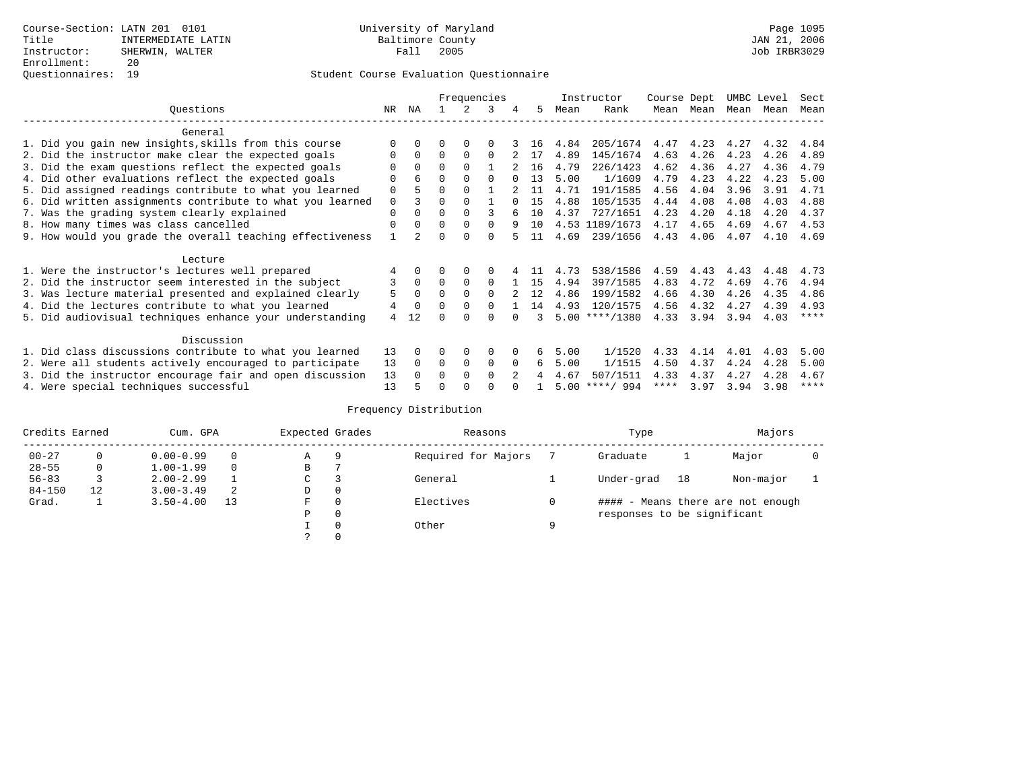|                                                           |             |          |          |             | Frequencies |          |    |      | Instructor       | Course Dept |      | UMBC Level |      | Sect        |
|-----------------------------------------------------------|-------------|----------|----------|-------------|-------------|----------|----|------|------------------|-------------|------|------------|------|-------------|
| Ouestions                                                 | NR.         | ΝA       |          |             | 3           | 4        | 5. | Mean | Rank             | Mean        | Mean | Mean       | Mean | Mean        |
| General                                                   |             |          |          |             |             |          |    |      |                  |             |      |            |      |             |
| 1. Did you gain new insights, skills from this course     |             | $\Omega$ | O        | $\Omega$    | $\Omega$    |          | 16 | 4.84 | 205/1674         | 4.47        | 4.23 | 4.27       | 4.32 | 4.84        |
| 2. Did the instructor make clear the expected goals       | O           | $\Omega$ | $\Omega$ | $\Omega$    | $\Omega$    |          | 17 | 4.89 | 145/1674         | 4.63        | 4.26 | 4.23       | 4.26 | 4.89        |
| 3. Did the exam questions reflect the expected goals      |             | $\Omega$ | $\Omega$ | $\Omega$    |             |          | 16 | 4.79 | 226/1423         | 4.62        | 4.36 | 4.27       | 4.36 | 4.79        |
| 4. Did other evaluations reflect the expected goals       | O           | 6        | $\Omega$ | $\Omega$    | $\Omega$    |          | 13 | 5.00 | 1/1609           | 4.79        | 4.23 | 4.22       | 4.23 | 5.00        |
| 5. Did assigned readings contribute to what you learned   | $\mathbf 0$ |          | 0        | $\Omega$    |             |          | 11 | 4.71 | 191/1585         | 4.56        | 4.04 | 3.96       | 3.91 | 4.71        |
| 6. Did written assignments contribute to what you learned | $\mathbf 0$ |          | $\Omega$ | $\Omega$    |             | $\cap$   | 15 | 4.88 | 105/1535         | 4.44        | 4.08 | 4.08       | 4.03 | 4.88        |
| 7. Was the grading system clearly explained               | $\Omega$    |          | $\Omega$ | $\Omega$    |             |          | 10 | 4.37 | 727/1651         | 4.23        | 4.20 | 4.18       | 4.20 | 4.37        |
| 8. How many times was class cancelled                     | $\Omega$    | $\Omega$ | $\Omega$ | $\Omega$    | $\Omega$    | 9        | 10 |      | 4.53 1189/1673   | 4.17        | 4.65 | 4.69       | 4.67 | 4.53        |
| 9. How would you grade the overall teaching effectiveness |             |          | U        | ∩           | $\cap$      |          | 11 | 4.69 | 239/1656         | 4.43        | 4.06 | 4.07       | 4.10 | 4.69        |
| Lecture                                                   |             |          |          |             |             |          |    |      |                  |             |      |            |      |             |
| 1. Were the instructor's lectures well prepared           |             |          |          |             |             |          |    | 4.73 | 538/1586         | 4.59        | 4.43 | 4.43       | 4.48 | 4.73        |
| 2. Did the instructor seem interested in the subject      | 3           | $\Omega$ | $\Omega$ | $\Omega$    | $\Omega$    |          | 15 | 4.94 | 397/1585         | 4.83        | 4.72 | 4.69       | 4.76 | 4.94        |
| 3. Was lecture material presented and explained clearly   | 5           | $\Omega$ | $\Omega$ | $\Omega$    | $\Omega$    |          | 12 | 4.86 | 199/1582         | 4.66        | 4.30 | 4.26       | 4.35 | 4.86        |
| 4. Did the lectures contribute to what you learned        | 4           | $\Omega$ | $\Omega$ |             | $\cap$      |          | 14 | 4.93 | 120/1575         | 4.56        | 4.32 | 4.27       | 4.39 | 4.93        |
| 5. Did audiovisual techniques enhance your understanding  | 4           | 12       |          |             |             |          |    |      | $5.00$ ****/1380 | 4.33        | 3.94 | 3.94       | 4.03 | $***$ *     |
|                                                           |             |          |          |             |             |          |    |      |                  |             |      |            |      |             |
| Discussion                                                |             |          |          |             |             |          |    |      |                  |             |      |            |      |             |
| 1. Did class discussions contribute to what you learned   | 13          | $\Omega$ | O        | $\Omega$    | $\Omega$    |          | 6  | 5.00 | 1/1520           | 4.33        | 4.14 | 4.01       | 4.03 | 5.00        |
| 2. Were all students actively encouraged to participate   | 13          | $\Omega$ | $\Omega$ | $\mathbf 0$ | 0           | $\Omega$ | 6  | 5.00 | 1/1515           | 4.50        | 4.37 | 4.24       | 4.28 | 5.00        |
| 3. Did the instructor encourage fair and open discussion  | 13          | $\Omega$ | 0        | $\Omega$    | $\Omega$    |          |    | 4.67 | 507/1511         | 4.33        | 4.37 | 4.27       | 4.28 | 4.67        |
| 4. Were special techniques successful                     | 13          |          |          |             |             |          |    |      | $5.00$ ****/ 994 | ****        | 3.97 | 3.94       | 3.98 | $***$ * * * |

| Credits Earned |          | Cum. GPA      |    |             | Expected Grades | Reasons             |   | Type                        |    | Majors                            |  |
|----------------|----------|---------------|----|-------------|-----------------|---------------------|---|-----------------------------|----|-----------------------------------|--|
| $00 - 27$      | $\Omega$ | $0.00 - 0.99$ |    | Α           | 9               | Required for Majors |   | Graduate                    |    | Major                             |  |
| $28 - 55$      | 0        | $1.00 - 1.99$ |    | В           |                 |                     |   |                             |    |                                   |  |
| $56 - 83$      |          | $2.00 - 2.99$ |    | $\sim$<br>◡ |                 | General             |   | Under-grad                  | 18 | Non-major                         |  |
| $84 - 150$     | 12       | $3.00 - 3.49$ | 2  | D           | 0               |                     |   |                             |    |                                   |  |
| Grad.          |          | $3.50 - 4.00$ | 13 | F           | 0               | Electives           | 0 |                             |    | #### - Means there are not enough |  |
|                |          |               |    | Ρ           | 0               |                     |   | responses to be significant |    |                                   |  |
|                |          |               |    |             | $\Omega$        | Other               | Q |                             |    |                                   |  |
|                |          |               |    |             |                 |                     |   |                             |    |                                   |  |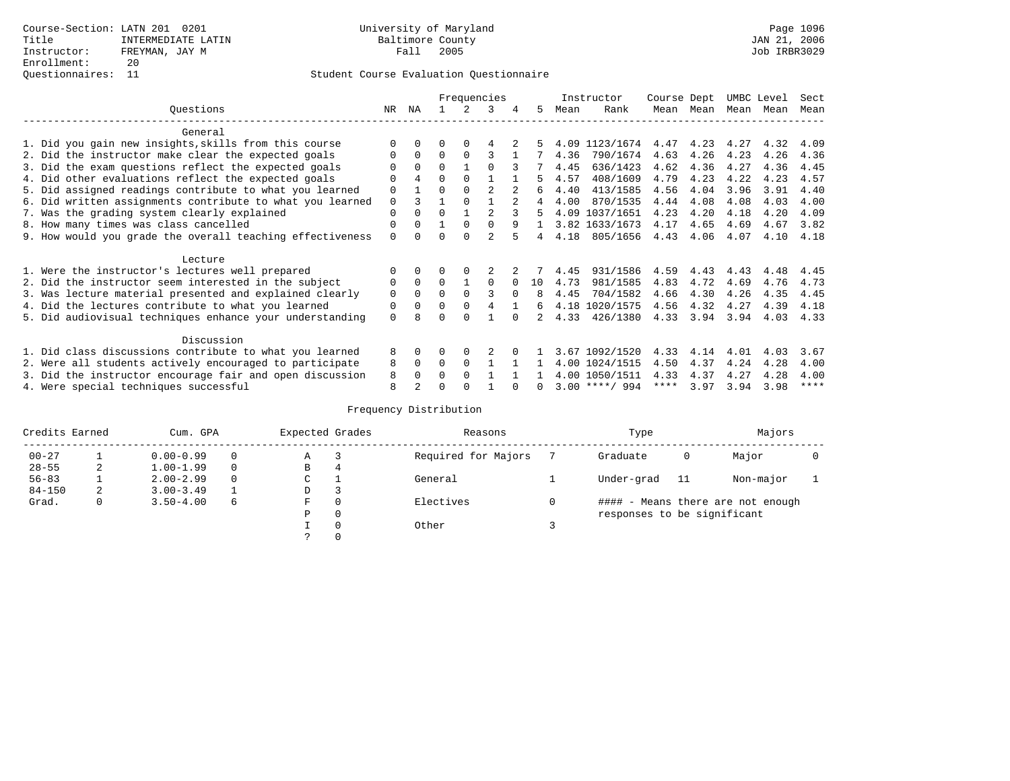|                                                           |             |                |          |          | Frequencies    |               |                |      | Instructor       | Course Dept |      | UMBC Level |      | Sect        |
|-----------------------------------------------------------|-------------|----------------|----------|----------|----------------|---------------|----------------|------|------------------|-------------|------|------------|------|-------------|
| Ouestions                                                 | NR.         | ΝA             |          |          | 3              | 4             | 5.             | Mean | Rank             | Mean        | Mean | Mean       | Mean | Mean        |
| General                                                   |             |                |          |          |                |               |                |      |                  |             |      |            |      |             |
| 1. Did you gain new insights, skills from this course     |             | $\Omega$       | O        | $\Omega$ |                |               |                |      | 4.09 1123/1674   | 4.47        | 4.23 | 4.27       | 4.32 | 4.09        |
| 2. Did the instructor make clear the expected goals       | O           | $\Omega$       | $\Omega$ | $\Omega$ | ς              |               |                | 4.36 | 790/1674         | 4.63        | 4.26 | 4.23       | 4.26 | 4.36        |
| 3. Did the exam questions reflect the expected goals      |             | $\Omega$       | $\Omega$ |          | $\Omega$       |               |                | 4.45 | 636/1423         | 4.62        | 4.36 | 4.27       | 4.36 | 4.45        |
| 4. Did other evaluations reflect the expected goals       | O           | $\overline{4}$ | 0        | $\Omega$ |                |               |                | 4.57 | 408/1609         | 4.79        | 4.23 | 4.22       | 4.23 | 4.57        |
| 5. Did assigned readings contribute to what you learned   | $\mathbf 0$ |                | $\Omega$ |          | $\mathfrak{D}$ |               | 6              | 4.40 | 413/1585         | 4.56        | 4.04 | 3.96       | 3.91 | 4.40        |
| 6. Did written assignments contribute to what you learned | $\mathbf 0$ | ζ              |          |          |                | $\mathcal{L}$ | $\overline{4}$ | 4.00 | 870/1535         | 4.44        | 4.08 | 4.08       | 4.03 | 4.00        |
| 7. Was the grading system clearly explained               | $\Omega$    | $\Omega$       | $\Omega$ |          |                |               | 5              |      | 4.09 1037/1651   | 4.23        | 4.20 | 4.18       | 4.20 | 4.09        |
| 8. How many times was class cancelled                     | 0           | $\Omega$       |          | $\Omega$ | $\Omega$       | q             | $\mathbf{1}$   |      | 3.82 1633/1673   | 4.17        | 4.65 | 4.69       | 4.67 | 3.82        |
| 9. How would you grade the overall teaching effectiveness | $\Omega$    | <sup>n</sup>   | U        | $\cap$   | $\mathfrak{D}$ |               | 4              | 4.18 | 805/1656         | 4.43        | 4.06 | 4.07       | 4.10 | 4.18        |
| Lecture                                                   |             |                |          |          |                |               |                |      |                  |             |      |            |      |             |
| 1. Were the instructor's lectures well prepared           | 0           |                |          |          |                |               |                | 4.45 | 931/1586         | 4.59        | 4.43 | 4.43       | 4.48 | 4.45        |
| 2. Did the instructor seem interested in the subject      | 0           | $\Omega$       | $\Omega$ |          | $\Omega$       | $\Omega$      | 10             | 4.73 | 981/1585         | 4.83        | 4.72 | 4.69       | 4.76 | 4.73        |
| 3. Was lecture material presented and explained clearly   | $\mathbf 0$ | $\Omega$       | $\Omega$ | $\Omega$ | ς              | $\Omega$      | 8              | 4.45 | 704/1582         | 4.66        | 4.30 | 4.26       | 4.35 | 4.45        |
| 4. Did the lectures contribute to what you learned        | 0           | $\Omega$       | $\Omega$ | $\Omega$ | 4              |               | б.             |      | 4.18 1020/1575   | 4.56        | 4.32 | 4.27       | 4.39 | 4.18        |
| 5. Did audiovisual techniques enhance your understanding  | $\Omega$    |                |          |          |                |               |                | 4.33 | 426/1380         | 4.33        | 3.94 | 3.94       | 4.03 | 4.33        |
|                                                           |             |                |          |          |                |               |                |      |                  |             |      |            |      |             |
| Discussion                                                |             |                |          |          |                |               |                |      |                  |             |      |            |      |             |
| 1. Did class discussions contribute to what you learned   | 8           | $\Omega$       | U        | $\Omega$ |                |               |                |      | 3.67 1092/1520   | 4.33        | 4.14 | 4.01       | 4.03 | 3.67        |
| 2. Were all students actively encouraged to participate   | 8           | $\Omega$       | $\Omega$ | $\Omega$ |                |               |                |      | 4.00 1024/1515   | 4.50        | 4.37 | 4.24       | 4.28 | 4.00        |
| 3. Did the instructor encourage fair and open discussion  | 8           | $\Omega$       | 0        | $\Omega$ |                |               |                |      | 4.00 1050/1511   | 4.33        | 4.37 | 4.27       | 4.28 | 4.00        |
| 4. Were special techniques successful                     | 8           |                |          |          |                |               |                |      | $3.00$ ****/ 994 | ****        | 3.97 | 3.94       | 3.98 | $***$ * * * |

| Credits Earned |   | Cum. GPA      |   | Expected Grades |          | Reasons             |   | Type                        |    | Majors                            |  |
|----------------|---|---------------|---|-----------------|----------|---------------------|---|-----------------------------|----|-----------------------------------|--|
| $00 - 27$      |   | $0.00 - 0.99$ |   | А               |          | Required for Majors |   | Graduate                    | 0  | Major                             |  |
| $28 - 55$      | 2 | $1.00 - 1.99$ |   | В               | 4        |                     |   |                             |    |                                   |  |
| $56 - 83$      |   | $2.00 - 2.99$ |   | $\sim$<br>J     |          | General             |   | Under-grad                  | 11 | Non-major                         |  |
| $84 - 150$     | 2 | $3.00 - 3.49$ |   | D               | 3        |                     |   |                             |    |                                   |  |
| Grad.          | 0 | $3.50 - 4.00$ | 6 | F               | 0        | Electives           | 0 |                             |    | #### - Means there are not enough |  |
|                |   |               |   | Ρ               | 0        |                     |   | responses to be significant |    |                                   |  |
|                |   |               |   |                 | $\Omega$ | Other               |   |                             |    |                                   |  |
|                |   |               |   |                 |          |                     |   |                             |    |                                   |  |